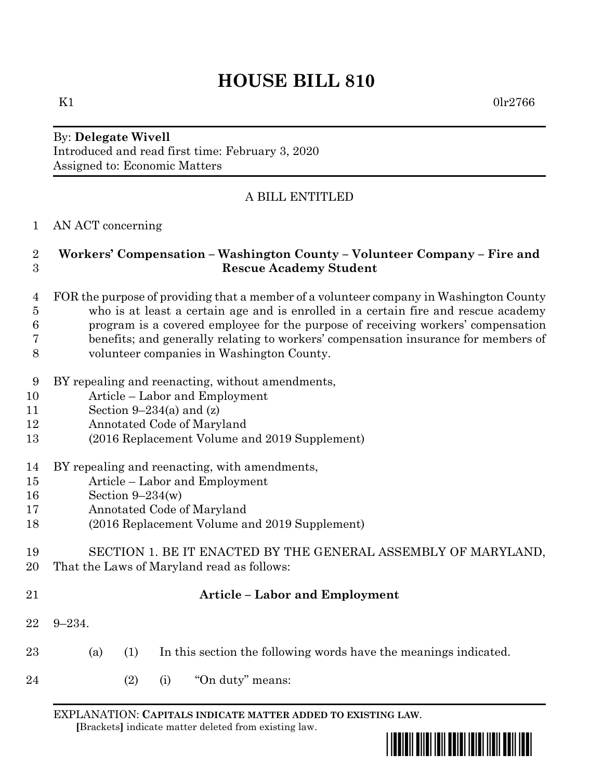# **HOUSE BILL 810**

By: **Delegate Wivell** Introduced and read first time: February 3, 2020 Assigned to: Economic Matters

## A BILL ENTITLED

#### AN ACT concerning

#### **Workers' Compensation – Washington County – Volunteer Company – Fire and Rescue Academy Student**

- FOR the purpose of providing that a member of a volunteer company in Washington County who is at least a certain age and is enrolled in a certain fire and rescue academy program is a covered employee for the purpose of receiving workers' compensation benefits; and generally relating to workers' compensation insurance for members of
- volunteer companies in Washington County.
- BY repealing and reenacting, without amendments,
- Article Labor and Employment
- Section 9–234(a) and (z)
- Annotated Code of Maryland
- (2016 Replacement Volume and 2019 Supplement)
- BY repealing and reenacting, with amendments,
- Article Labor and Employment
- Section 9–234(w)
- Annotated Code of Maryland
- (2016 Replacement Volume and 2019 Supplement)

 SECTION 1. BE IT ENACTED BY THE GENERAL ASSEMBLY OF MARYLAND, That the Laws of Maryland read as follows:

## **Article – Labor and Employment**

- 9–234.
- (a) (1) In this section the following words have the meanings indicated.
- (2) (i) "On duty" means:

EXPLANATION: **CAPITALS INDICATE MATTER ADDED TO EXISTING LAW**.  **[**Brackets**]** indicate matter deleted from existing law.



K1  $0 \text{lr} 2766$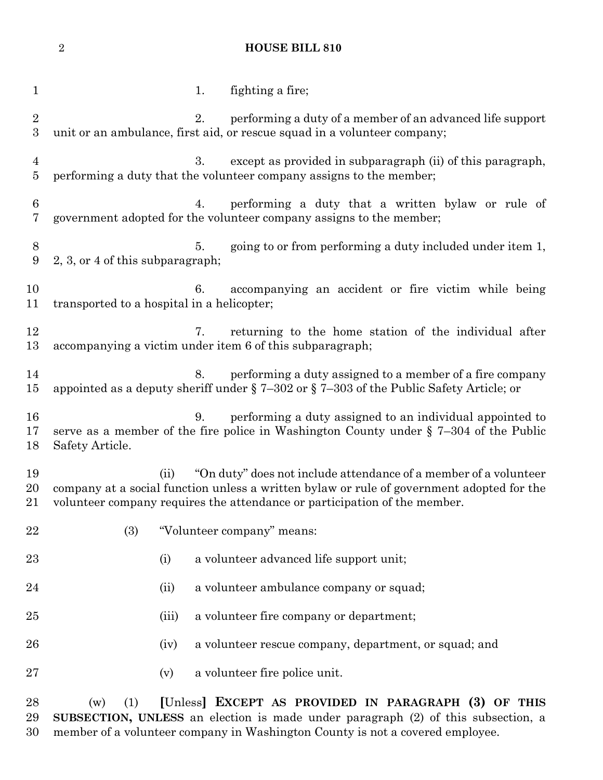**HOUSE BILL 810**

| $\mathbf{1}$         | fighting a fire;<br>1.                                                                                                                                                                                                                             |                                                           |
|----------------------|----------------------------------------------------------------------------------------------------------------------------------------------------------------------------------------------------------------------------------------------------|-----------------------------------------------------------|
| $\sqrt{2}$<br>3      | 2.<br>unit or an ambulance, first aid, or rescue squad in a volunteer company;                                                                                                                                                                     | performing a duty of a member of an advanced life support |
| 4<br>$\overline{5}$  | except as provided in subparagraph (ii) of this paragraph,<br>3.<br>performing a duty that the volunteer company assigns to the member;                                                                                                            |                                                           |
| $6\phantom{.}6$<br>7 | performing a duty that a written bylaw or rule of<br>4.<br>government adopted for the volunteer company assigns to the member;                                                                                                                     |                                                           |
| $8\,$<br>9           | going to or from performing a duty included under item 1,<br>5.<br>2, 3, or 4 of this subparagraph;                                                                                                                                                |                                                           |
| 10<br>11             | 6. accompanying an accident or fire victim while being<br>transported to a hospital in a helicopter;                                                                                                                                               |                                                           |
| 12<br>13             | returning to the home station of the individual after<br>7.<br>accompanying a victim under item 6 of this subparagraph;                                                                                                                            |                                                           |
| 14<br>15             | performing a duty assigned to a member of a fire company<br>8.<br>appointed as a deputy sheriff under $\S 7-302$ or $\S 7-303$ of the Public Safety Article; or                                                                                    |                                                           |
| 16<br>17<br>18       | performing a duty assigned to an individual appointed to<br>9.<br>serve as a member of the fire police in Washington County under $\S$ 7-304 of the Public<br>Safety Article.                                                                      |                                                           |
| 19<br>20<br>21       | "On duty" does not include attendance of a member of a volunteer<br>(ii)<br>company at a social function unless a written bylaw or rule of government adopted for the<br>volunteer company requires the attendance or participation of the member. |                                                           |
|                      | 22<br>(3)<br>"Volunteer company" means:                                                                                                                                                                                                            |                                                           |
|                      | 23<br>a volunteer advanced life support unit;<br>(i)                                                                                                                                                                                               |                                                           |
| 24                   | a volunteer ambulance company or squad;<br>(ii)                                                                                                                                                                                                    |                                                           |
| 25                   | a volunteer fire company or department;<br>(iii)                                                                                                                                                                                                   |                                                           |
|                      | 26<br>(iv)                                                                                                                                                                                                                                         | a volunteer rescue company, department, or squad; and     |
| 27                   | a volunteer fire police unit.<br>(v)                                                                                                                                                                                                               |                                                           |
|                      | 28<br>(1)<br>(w)                                                                                                                                                                                                                                   | [Unless] EXCEPT AS PROVIDED IN PARAGRAPH (3) OF THIS      |

 **SUBSECTION, UNLESS** an election is made under paragraph (2) of this subsection, a 30 member of a volunteer company in Washington County is not a covered employee.